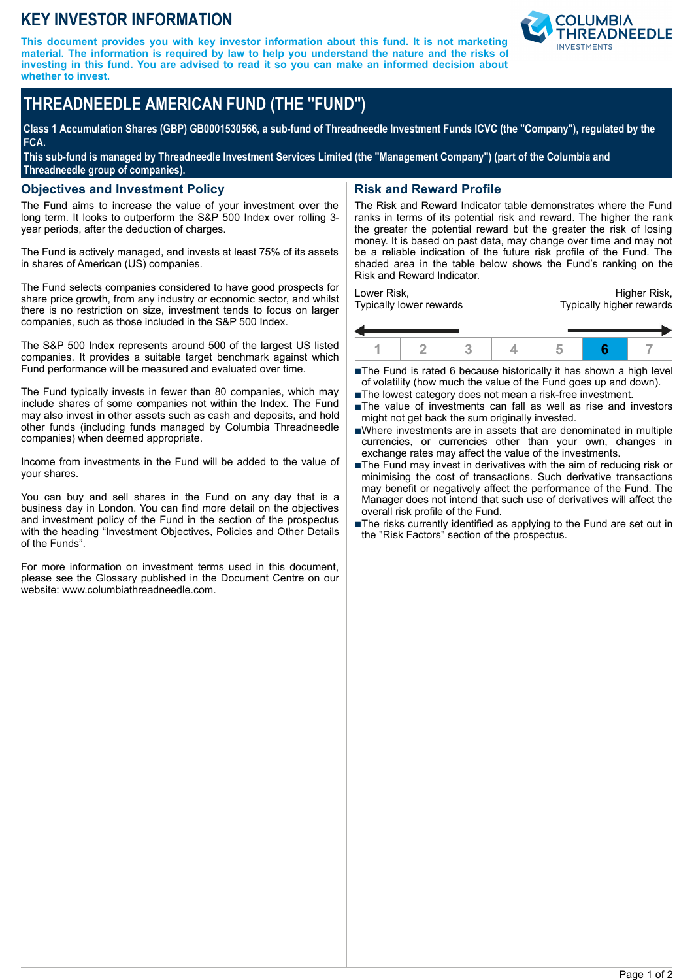## **KEY INVESTOR INFORMATION**

**This document provides you with key investor information about this fund. It is not marketing material. The information is required by law to help you understand the nature and the risks of investing in this fund. You are advised to read it so you can make an informed decision about whether to invest.**



# **THREADNEEDLE AMERICAN FUND (THE "FUND")**

**Class 1 Accumulation Shares (GBP) GB0001530566, a sub-fund of Threadneedle Investment Funds ICVC (the "Company"), regulated by the FCA.**

**This sub-fund is managed by Threadneedle Investment Services Limited (the "Management Company") (part of the Columbia and Threadneedle group of companies).**

#### **Objectives and Investment Policy**

The Fund aims to increase the value of your investment over the long term. It looks to outperform the S&P 500 Index over rolling 3year periods, after the deduction of charges.

The Fund is actively managed, and invests at least 75% of its assets in shares of American (US) companies.

The Fund selects companies considered to have good prospects for share price growth, from any industry or economic sector, and whilst there is no restriction on size, investment tends to focus on larger companies, such as those included in the S&P 500 Index.

The S&P 500 Index represents around 500 of the largest US listed companies. It provides a suitable target benchmark against which Fund performance will be measured and evaluated over time.

The Fund typically invests in fewer than 80 companies, which may include shares of some companies not within the Index. The Fund may also invest in other assets such as cash and deposits, and hold other funds (including funds managed by Columbia Threadneedle companies) when deemed appropriate.

Income from investments in the Fund will be added to the value of your shares.

You can buy and sell shares in the Fund on any day that is a business day in London. You can find more detail on the objectives and investment policy of the Fund in the section of the prospectus with the heading "Investment Objectives, Policies and Other Details of the Funds".

For more information on investment terms used in this document, please see the Glossary published in the Document Centre on our website: www.columbiathreadneedle.com.

## **Risk and Reward Profile**

The Risk and Reward Indicator table demonstrates where the Fund ranks in terms of its potential risk and reward. The higher the rank the greater the potential reward but the greater the risk of losing money. It is based on past data, may change over time and may not be a reliable indication of the future risk profile of the Fund. The shaded area in the table below shows the Fund's ranking on the Risk and Reward Indicator.

Lower Risk, Typically lower rewards

Higher Risk, Typically higher rewards



■The Fund is rated 6 because historically it has shown a high level of volatility (how much the value of the Fund goes up and down).

- ■The lowest category does not mean a risk-free investment.
- nThe value of investments can fall as well as rise and investors might not get back the sum originally invested.
- nWhere investments are in assets that are denominated in multiple currencies, or currencies other than your own, changes in exchange rates may affect the value of the investments.
- ■The Fund may invest in derivatives with the aim of reducing risk or minimising the cost of transactions. Such derivative transactions may benefit or negatively affect the performance of the Fund. The Manager does not intend that such use of derivatives will affect the overall risk profile of the Fund.
- The risks currently identified as applying to the Fund are set out in the "Risk Factors" section of the prospectus.